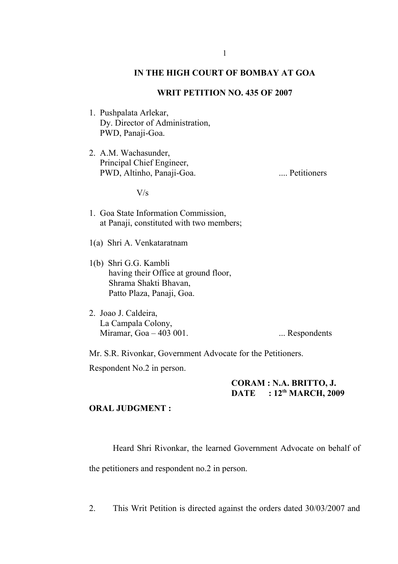## **IN THE HIGH COURT OF BOMBAY AT GOA**

## **WRIT PETITION NO. 435 OF 2007**

- 1. Pushpalata Arlekar, Dy. Director of Administration, PWD, Panaji-Goa.
- 2. A.M. Wachasunder, Principal Chief Engineer, PWD, Altinho, Panaji-Goa. .... Petitioners

V/s

- 1. Goa State Information Commission, at Panaji, constituted with two members;
- 1(a) Shri A. Venkataratnam
- 1(b) Shri G.G. Kambli having their Office at ground floor, Shrama Shakti Bhavan, Patto Plaza, Panaji, Goa.
- 2. Joao J. Caldeira, La Campala Colony, Miramar,  $Goa - 403001$ . ... Respondents

Mr. S.R. Rivonkar, Government Advocate for the Petitioners.

Respondent No.2 in person.

# **CORAM : N.A. BRITTO, J. DATE : 12th MARCH, 2009**

#### **ORAL JUDGMENT :**

Heard Shri Rivonkar, the learned Government Advocate on behalf of

the petitioners and respondent no.2 in person.

2. This Writ Petition is directed against the orders dated 30/03/2007 and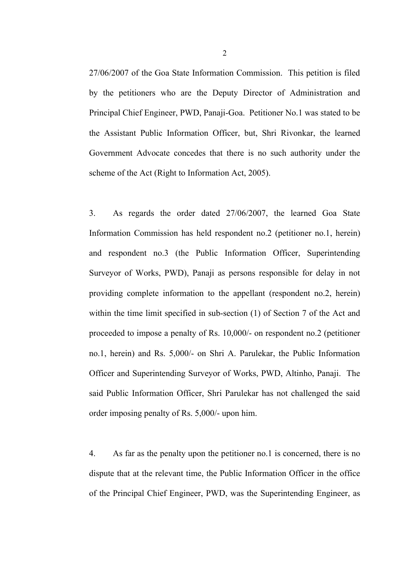27/06/2007 of the Goa State Information Commission. This petition is filed by the petitioners who are the Deputy Director of Administration and Principal Chief Engineer, PWD, Panaji-Goa. Petitioner No.1 was stated to be the Assistant Public Information Officer, but, Shri Rivonkar, the learned Government Advocate concedes that there is no such authority under the scheme of the Act (Right to Information Act, 2005).

3. As regards the order dated 27/06/2007, the learned Goa State Information Commission has held respondent no.2 (petitioner no.1, herein) and respondent no.3 (the Public Information Officer, Superintending Surveyor of Works, PWD), Panaji as persons responsible for delay in not providing complete information to the appellant (respondent no.2, herein) within the time limit specified in sub-section (1) of Section 7 of the Act and proceeded to impose a penalty of Rs. 10,000/- on respondent no.2 (petitioner no.1, herein) and Rs. 5,000/- on Shri A. Parulekar, the Public Information Officer and Superintending Surveyor of Works, PWD, Altinho, Panaji. The said Public Information Officer, Shri Parulekar has not challenged the said order imposing penalty of Rs. 5,000/- upon him.

4. As far as the penalty upon the petitioner no.1 is concerned, there is no dispute that at the relevant time, the Public Information Officer in the office of the Principal Chief Engineer, PWD, was the Superintending Engineer, as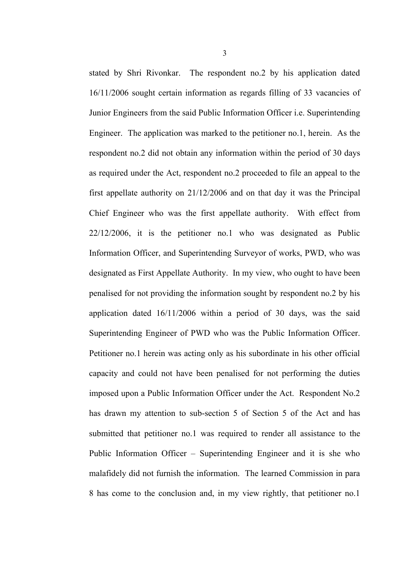stated by Shri Rivonkar. The respondent no.2 by his application dated 16/11/2006 sought certain information as regards filling of 33 vacancies of Junior Engineers from the said Public Information Officer i.e. Superintending Engineer. The application was marked to the petitioner no.1, herein. As the respondent no.2 did not obtain any information within the period of 30 days as required under the Act, respondent no.2 proceeded to file an appeal to the first appellate authority on 21/12/2006 and on that day it was the Principal Chief Engineer who was the first appellate authority. With effect from 22/12/2006, it is the petitioner no.1 who was designated as Public Information Officer, and Superintending Surveyor of works, PWD, who was designated as First Appellate Authority. In my view, who ought to have been penalised for not providing the information sought by respondent no.2 by his application dated 16/11/2006 within a period of 30 days, was the said Superintending Engineer of PWD who was the Public Information Officer. Petitioner no.1 herein was acting only as his subordinate in his other official capacity and could not have been penalised for not performing the duties imposed upon a Public Information Officer under the Act. Respondent No.2 has drawn my attention to sub-section 5 of Section 5 of the Act and has submitted that petitioner no.1 was required to render all assistance to the Public Information Officer – Superintending Engineer and it is she who malafidely did not furnish the information. The learned Commission in para 8 has come to the conclusion and, in my view rightly, that petitioner no.1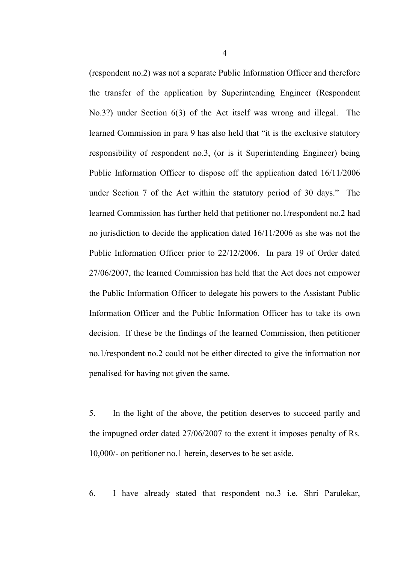(respondent no.2) was not a separate Public Information Officer and therefore the transfer of the application by Superintending Engineer (Respondent No.3?) under Section 6(3) of the Act itself was wrong and illegal. The learned Commission in para 9 has also held that "it is the exclusive statutory responsibility of respondent no.3, (or is it Superintending Engineer) being Public Information Officer to dispose off the application dated 16/11/2006 under Section 7 of the Act within the statutory period of 30 days." The learned Commission has further held that petitioner no.1/respondent no.2 had no jurisdiction to decide the application dated 16/11/2006 as she was not the Public Information Officer prior to 22/12/2006. In para 19 of Order dated 27/06/2007, the learned Commission has held that the Act does not empower the Public Information Officer to delegate his powers to the Assistant Public Information Officer and the Public Information Officer has to take its own decision. If these be the findings of the learned Commission, then petitioner no.1/respondent no.2 could not be either directed to give the information nor penalised for having not given the same.

5. In the light of the above, the petition deserves to succeed partly and the impugned order dated 27/06/2007 to the extent it imposes penalty of Rs. 10,000/- on petitioner no.1 herein, deserves to be set aside.

6. I have already stated that respondent no.3 i.e. Shri Parulekar,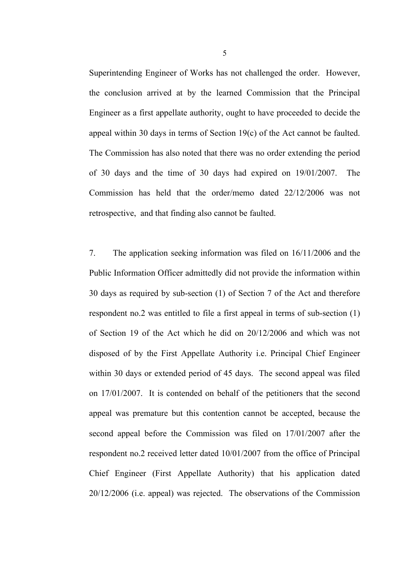Superintending Engineer of Works has not challenged the order. However, the conclusion arrived at by the learned Commission that the Principal Engineer as a first appellate authority, ought to have proceeded to decide the appeal within 30 days in terms of Section 19(c) of the Act cannot be faulted. The Commission has also noted that there was no order extending the period of 30 days and the time of 30 days had expired on 19/01/2007. The Commission has held that the order/memo dated 22/12/2006 was not retrospective, and that finding also cannot be faulted.

7. The application seeking information was filed on 16/11/2006 and the Public Information Officer admittedly did not provide the information within 30 days as required by sub-section (1) of Section 7 of the Act and therefore respondent no.2 was entitled to file a first appeal in terms of sub-section (1) of Section 19 of the Act which he did on 20/12/2006 and which was not disposed of by the First Appellate Authority i.e. Principal Chief Engineer within 30 days or extended period of 45 days. The second appeal was filed on 17/01/2007. It is contended on behalf of the petitioners that the second appeal was premature but this contention cannot be accepted, because the second appeal before the Commission was filed on 17/01/2007 after the respondent no.2 received letter dated 10/01/2007 from the office of Principal Chief Engineer (First Appellate Authority) that his application dated 20/12/2006 (i.e. appeal) was rejected. The observations of the Commission